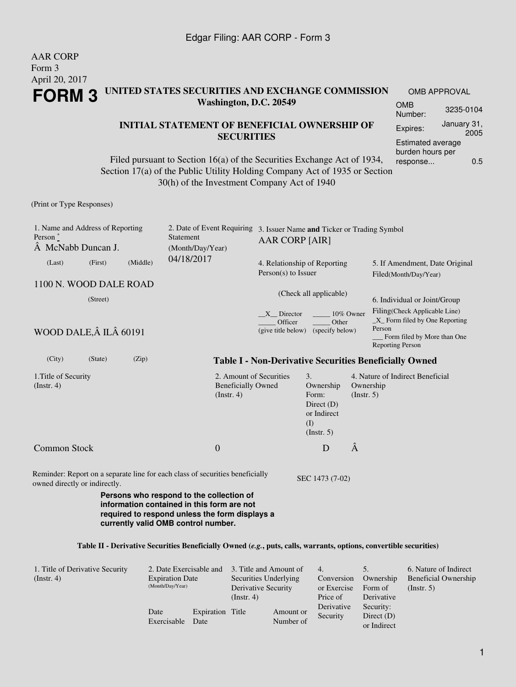## AAR CORP Form 3 April 20, 2017 **FORM 3 UNITED STATES SECURITIES AND EXCHANGE COMMISSION Washington, D.C. 20549 INITIAL STATEMENT OF BENEFICIAL OWNERSHIP OF SECURITIES** OMB APPROVAL OMB Number: 3235-0104 Expires: January 31, 2005 Estimated average burden hours per

Filed pursuant to Section 16(a) of the Securities Exchange Act of 1934, Section 17(a) of the Public Utility Holding Company Act of 1935 or Section 30(h) of the Investment Company Act of 1940

(Print or Type Responses)

| 1. Name and Address of Reporting<br>Person $\degree$<br>A McNabb Duncan J. |         |          | 2. Date of Event Requiring<br>Statement<br>(Month/Day/Year)                                                                                                                     | 3. Issuer Name and Ticker or Trading Symbol<br><b>AAR CORP [AIR]</b>                                           |                                                                                    |                          |                                                                                                                                                                      |  |  |
|----------------------------------------------------------------------------|---------|----------|---------------------------------------------------------------------------------------------------------------------------------------------------------------------------------|----------------------------------------------------------------------------------------------------------------|------------------------------------------------------------------------------------|--------------------------|----------------------------------------------------------------------------------------------------------------------------------------------------------------------|--|--|
| (Last)                                                                     | (First) | (Middle) | 04/18/2017                                                                                                                                                                      | 4. Relationship of Reporting<br>$Person(s)$ to Issuer                                                          |                                                                                    |                          | 5. If Amendment, Date Original<br>Filed(Month/Day/Year)                                                                                                              |  |  |
| 1100 N. WOOD DALE ROAD<br>(Street)<br>WOOD DALE, Â ILÂ 60191               |         |          |                                                                                                                                                                                 | (Check all applicable)<br>X Director<br>10% Owner<br>Officer<br>Other<br>(give title below)<br>(specify below) |                                                                                    |                          | 6. Individual or Joint/Group<br>Filing(Check Applicable Line)<br>$X$ Form filed by One Reporting<br>Person<br>Form filed by More than One<br><b>Reporting Person</b> |  |  |
| (City)                                                                     | (State) | (Zip)    |                                                                                                                                                                                 |                                                                                                                |                                                                                    |                          | <b>Table I - Non-Derivative Securities Beneficially Owned</b>                                                                                                        |  |  |
| 1. Title of Security<br>$($ Instr. 4 $)$                                   |         |          | 2. Amount of Securities<br><b>Beneficially Owned</b><br>$($ Instr. 4 $)$                                                                                                        |                                                                                                                | 3.<br>Ownership<br>Form:<br>Direct $(D)$<br>or Indirect<br>(I)<br>$($ Instr. 5 $)$ | Ownership<br>(Insert. 5) | 4. Nature of Indirect Beneficial                                                                                                                                     |  |  |
| <b>Common Stock</b>                                                        |         |          | $\overline{0}$                                                                                                                                                                  |                                                                                                                | D                                                                                  | Â                        |                                                                                                                                                                      |  |  |
| owned directly or indirectly.                                              |         |          | Reminder: Report on a separate line for each class of securities beneficially                                                                                                   |                                                                                                                | SEC 1473 (7-02)                                                                    |                          |                                                                                                                                                                      |  |  |
|                                                                            |         |          | Persons who respond to the collection of<br>information contained in this form are not<br>required to respond unless the form displays a<br>currently valid OMB control number. |                                                                                                                |                                                                                    |                          |                                                                                                                                                                      |  |  |
|                                                                            |         |          | Table II - Derivative Securities Beneficially Owned (e.g., puts, calls, warrants, options, convertible securities)                                                              |                                                                                                                |                                                                                    |                          |                                                                                                                                                                      |  |  |

| 1. Title of Derivative Security<br>$($ Instr. 4 $)$ | 2. Date Exercisable and<br><b>Expiration Date</b><br>(Month/Day/Year) |                          | 3. Title and Amount of<br>Securities Underlying<br>Derivative Security<br>(Insert. 4) |                        | 4.<br>Conversion<br>or Exercise<br>Price of                        | Ownership<br>Form of<br>Derivative | 6. Nature of Indirect<br><b>Beneficial Ownership</b><br>$($ Instr. 5 $)$ |
|-----------------------------------------------------|-----------------------------------------------------------------------|--------------------------|---------------------------------------------------------------------------------------|------------------------|--------------------------------------------------------------------|------------------------------------|--------------------------------------------------------------------------|
|                                                     | Date<br>Exercisable                                                   | Expiration Title<br>Date |                                                                                       | Amount or<br>Number of | Derivative<br>Security:<br>Security<br>Direct $(D)$<br>or Indirect |                                    |                                                                          |

response... 0.5